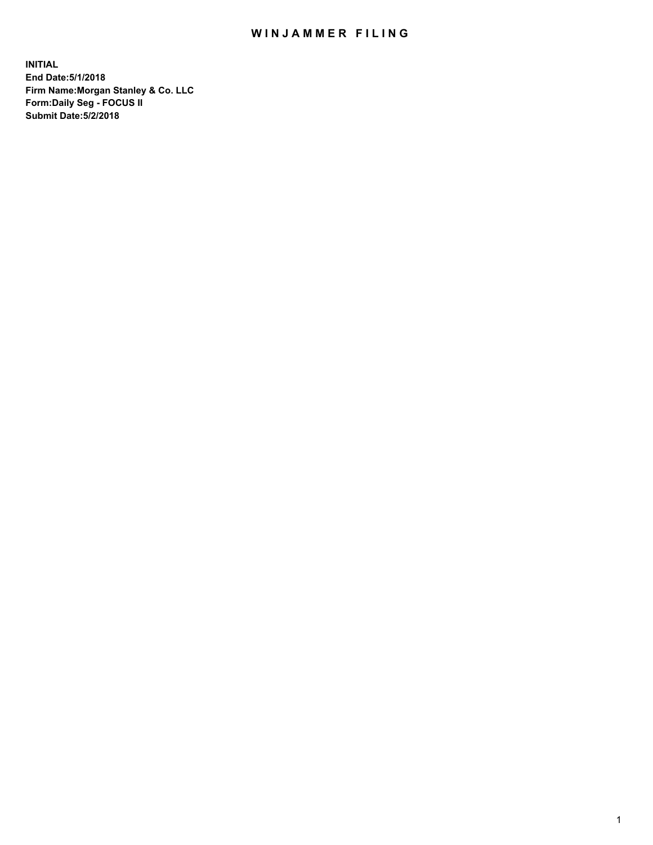## WIN JAMMER FILING

**INITIAL End Date:5/1/2018 Firm Name:Morgan Stanley & Co. LLC Form:Daily Seg - FOCUS II Submit Date:5/2/2018**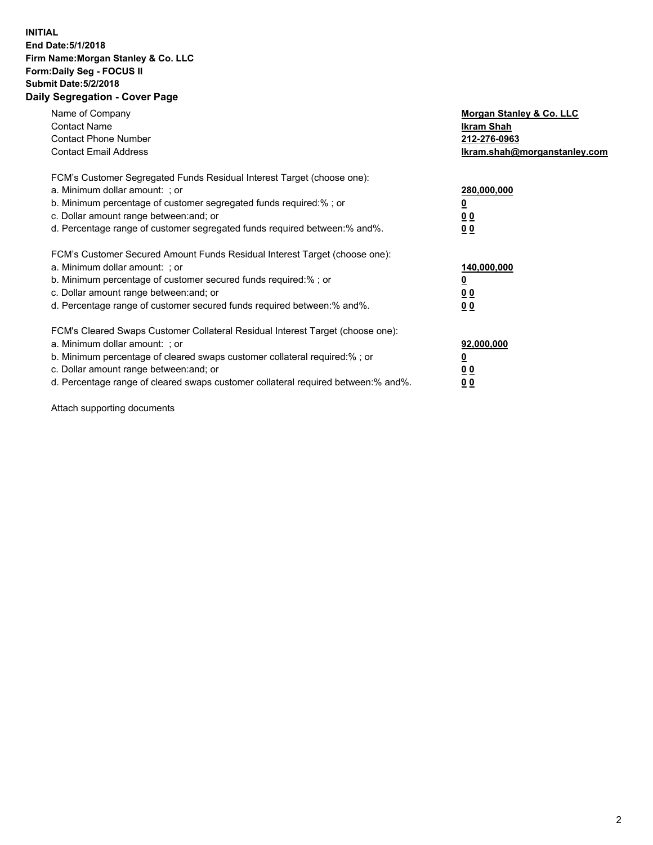## **INITIAL End Date:5/1/2018 Firm Name:Morgan Stanley & Co. LLC Form:Daily Seg - FOCUS II Submit Date:5/2/2018 Daily Segregation - Cover Page**

| Name of Company<br><b>Contact Name</b><br><b>Contact Phone Number</b><br><b>Contact Email Address</b>                                                                                                                                                                                                                         | <b>Morgan Stanley &amp; Co. LLC</b><br>Ikram Shah<br>212-276-0963<br>Ikram.shah@morganstanley.com |
|-------------------------------------------------------------------------------------------------------------------------------------------------------------------------------------------------------------------------------------------------------------------------------------------------------------------------------|---------------------------------------------------------------------------------------------------|
| FCM's Customer Segregated Funds Residual Interest Target (choose one):<br>a. Minimum dollar amount: ; or<br>b. Minimum percentage of customer segregated funds required:% ; or<br>c. Dollar amount range between: and; or<br>d. Percentage range of customer segregated funds required between: % and %.                      | 280,000,000<br>00<br>0 <sub>0</sub>                                                               |
| FCM's Customer Secured Amount Funds Residual Interest Target (choose one):<br>a. Minimum dollar amount: ; or<br>b. Minimum percentage of customer secured funds required:%; or<br>c. Dollar amount range between: and; or<br>d. Percentage range of customer secured funds required between:% and%.                           | 140,000,000<br>0 <sub>0</sub><br>0 <sub>0</sub>                                                   |
| FCM's Cleared Swaps Customer Collateral Residual Interest Target (choose one):<br>a. Minimum dollar amount: ; or<br>b. Minimum percentage of cleared swaps customer collateral required:%; or<br>c. Dollar amount range between: and; or<br>d. Percentage range of cleared swaps customer collateral required between:% and%. | 92,000,000<br>0 <sub>0</sub><br>00                                                                |

Attach supporting documents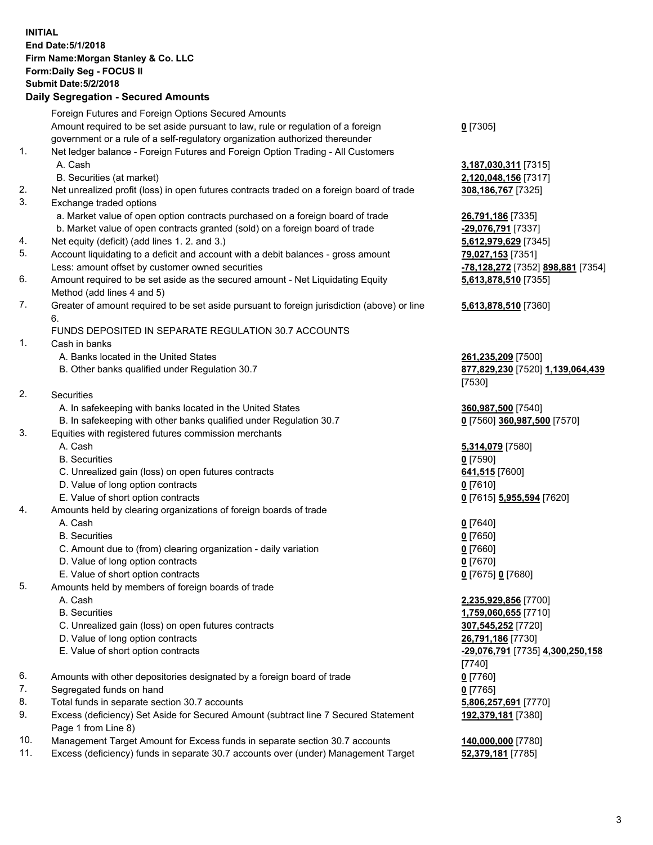## **INITIAL End Date:5/1/2018 Firm Name:Morgan Stanley & Co. LLC Form:Daily Seg - FOCUS II Submit Date:5/2/2018 Daily Segregation - Secured Amounts**

Foreign Futures and Foreign Options Secured Amounts Amount required to be set aside pursuant to law, rule or regulation of a foreign government or a rule of a self-regulatory organization authorized thereunder 1. Net ledger balance - Foreign Futures and Foreign Option Trading - All Customers A. Cash **3,187,030,311** [7315] B. Securities (at market) **2,120,048,156** [7317] 2. Net unrealized profit (loss) in open futures contracts traded on a foreign board of trade **308,186,767** [7325] 3. Exchange traded options a. Market value of open option contracts purchased on a foreign board of trade **26,791,186** [7335] b. Market value of open contracts granted (sold) on a foreign board of trade **-29,076,791** [7337] 4. Net equity (deficit) (add lines 1. 2. and 3.) **5,612,979,629** [7345] 5. Account liquidating to a deficit and account with a debit balances - gross amount **79,027,153** [7351] Less: amount offset by customer owned securities **-78,128,272** [7352] **898,881** [7354] 6. Amount required to be set aside as the secured amount - Net Liquidating Equity Method (add lines 4 and 5) 7. Greater of amount required to be set aside pursuant to foreign jurisdiction (above) or line 6. FUNDS DEPOSITED IN SEPARATE REGULATION 30.7 ACCOUNTS 1. Cash in banks A. Banks located in the United States **261,235,209** [7500] B. Other banks qualified under Regulation 30.7 **877,829,230** [7520] **1,139,064,439** 2. Securities A. In safekeeping with banks located in the United States **360,987,500** [7540] B. In safekeeping with other banks qualified under Regulation 30.7 **0** [7560] **360,987,500** [7570] 3. Equities with registered futures commission merchants A. Cash **5,314,079** [7580] B. Securities **0** [7590] C. Unrealized gain (loss) on open futures contracts **641,515** [7600] D. Value of long option contracts **0** [7610] E. Value of short option contracts **0** [7615] **5,955,594** [7620] 4. Amounts held by clearing organizations of foreign boards of trade A. Cash **0** [7640] B. Securities **0** [7650] C. Amount due to (from) clearing organization - daily variation **0** [7660] D. Value of long option contracts **0** [7670] E. Value of short option contracts **0** [7675] **0** [7680] 5. Amounts held by members of foreign boards of trade A. Cash **2,235,929,856** [7700] B. Securities **1,759,060,655** [7710] C. Unrealized gain (loss) on open futures contracts **307,545,252** [7720] D. Value of long option contracts **26,791,186** [7730] E. Value of short option contracts **-29,076,791** [7735] **4,300,250,158** 6. Amounts with other depositories designated by a foreign board of trade **0** [7760] 7. Segregated funds on hand **0** [7765] 8. Total funds in separate section 30.7 accounts **5,806,257,691** [7770]

9. Excess (deficiency) Set Aside for Secured Amount (subtract line 7 Secured Statement Page 1 from Line 8)

- 10. Management Target Amount for Excess funds in separate section 30.7 accounts **140,000,000** [7780]
- 11. Excess (deficiency) funds in separate 30.7 accounts over (under) Management Target **52,379,181** [7785]

**0** [7305]

**5,613,878,510** [7355]

## **5,613,878,510** [7360]

[7530]

[7740] **192,379,181** [7380]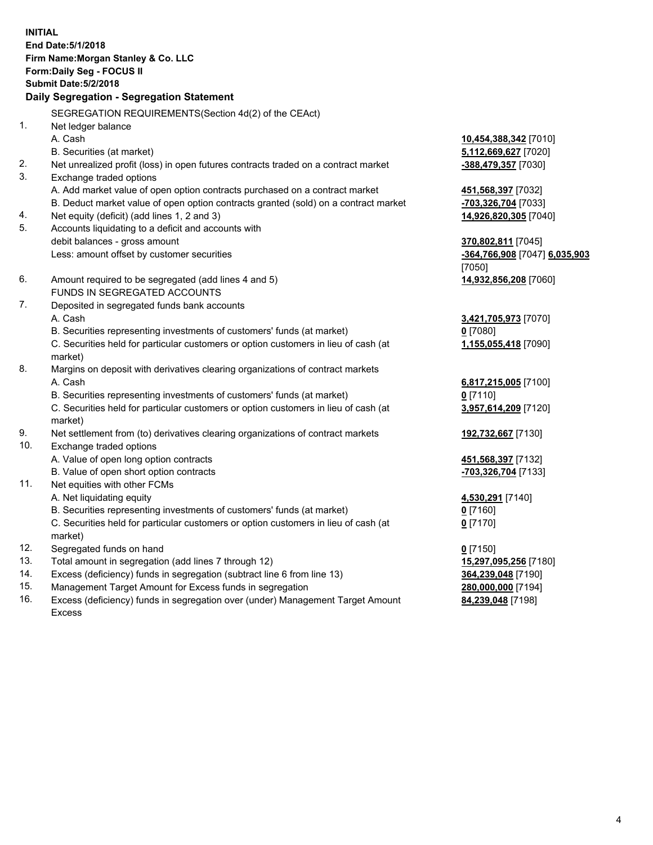**INITIAL End Date:5/1/2018 Firm Name:Morgan Stanley & Co. LLC Form:Daily Seg - FOCUS II Submit Date:5/2/2018 Daily Segregation - Segregation Statement** SEGREGATION REQUIREMENTS(Section 4d(2) of the CEAct) 1. Net ledger balance A. Cash **10,454,388,342** [7010] B. Securities (at market) **5,112,669,627** [7020] 2. Net unrealized profit (loss) in open futures contracts traded on a contract market **-388,479,357** [7030] 3. Exchange traded options A. Add market value of open option contracts purchased on a contract market **451,568,397** [7032] B. Deduct market value of open option contracts granted (sold) on a contract market **-703,326,704** [7033] 4. Net equity (deficit) (add lines 1, 2 and 3) **14,926,820,305** [7040] 5. Accounts liquidating to a deficit and accounts with debit balances - gross amount **370,802,811** [7045] Less: amount offset by customer securities **-364,766,908** [7047] **6,035,903** [7050] 6. Amount required to be segregated (add lines 4 and 5) **14,932,856,208** [7060] FUNDS IN SEGREGATED ACCOUNTS 7. Deposited in segregated funds bank accounts A. Cash **3,421,705,973** [7070] B. Securities representing investments of customers' funds (at market) **0** [7080] C. Securities held for particular customers or option customers in lieu of cash (at market) **1,155,055,418** [7090] 8. Margins on deposit with derivatives clearing organizations of contract markets A. Cash **6,817,215,005** [7100] B. Securities representing investments of customers' funds (at market) **0** [7110] C. Securities held for particular customers or option customers in lieu of cash (at market) **3,957,614,209** [7120] 9. Net settlement from (to) derivatives clearing organizations of contract markets **192,732,667** [7130] 10. Exchange traded options A. Value of open long option contracts **451,568,397** [7132] B. Value of open short option contracts **-703,326,704** [7133] 11. Net equities with other FCMs A. Net liquidating equity **4,530,291** [7140] B. Securities representing investments of customers' funds (at market) **0** [7160] C. Securities held for particular customers or option customers in lieu of cash (at market) **0** [7170] 12. Segregated funds on hand **0** [7150] 13. Total amount in segregation (add lines 7 through 12) **15,297,095,256** [7180] 14. Excess (deficiency) funds in segregation (subtract line 6 from line 13) **364,239,048** [7190] 15. Management Target Amount for Excess funds in segregation **280,000,000** [7194]

16. Excess (deficiency) funds in segregation over (under) Management Target Amount Excess

**84,239,048** [7198]